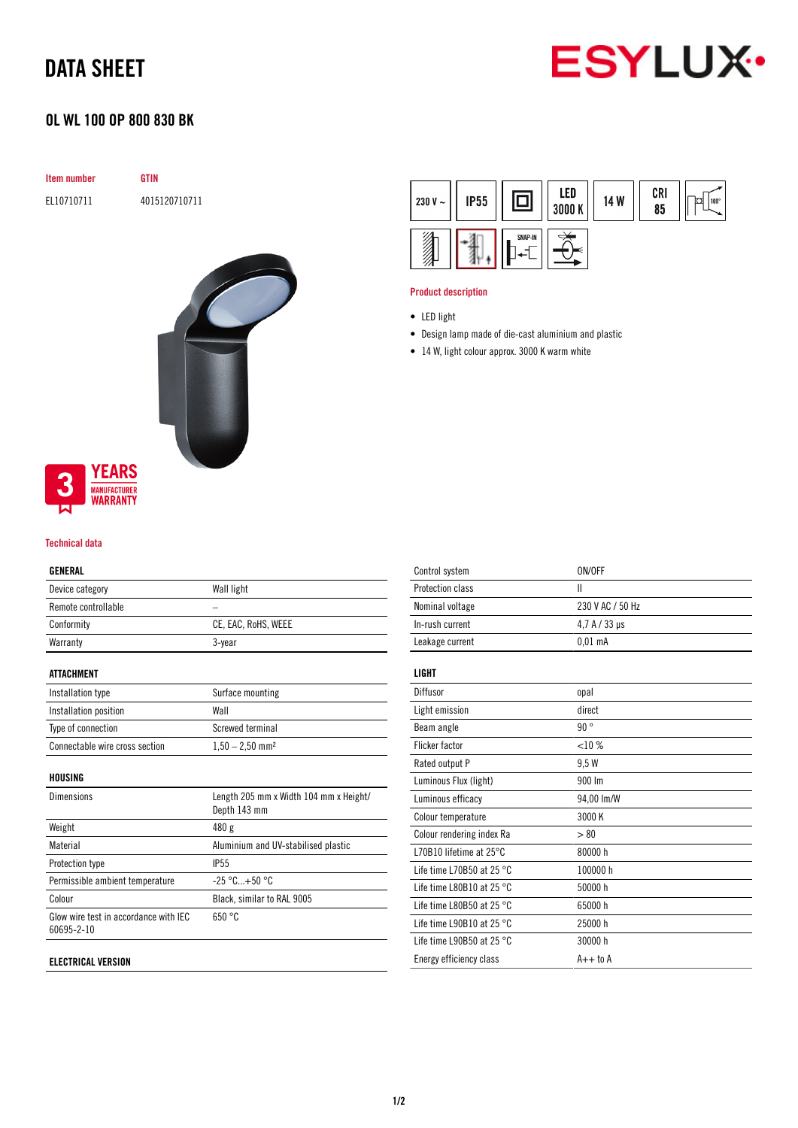## DATA SHEET



### OL WL 100 OP 800 830 BK

| <b>Item number</b> | GTIN          |  |
|--------------------|---------------|--|
| EL10710711         | 4015120710711 |  |
|                    |               |  |



### **YEARS MANUFACTURER**<br>**WARRANTY**

#### Technical data

#### GENERAL

| ---------           |                     |
|---------------------|---------------------|
| Device category     | Wall light          |
| Remote controllable |                     |
| Conformity          | CE, EAC, RoHS, WEEE |
| Warranty            | 3-year              |
|                     |                     |

#### ATTACHMENT

| Installation type              | Surface mounting              |
|--------------------------------|-------------------------------|
| Installation position          | Wall                          |
| Type of connection             | Screwed terminal              |
| Connectable wire cross section | $1,50 - 2,50$ mm <sup>2</sup> |

#### HOUSING

| <b>Dimensions</b>                                   | Length 205 mm x Width 104 mm x Height/<br>Depth 143 mm |
|-----------------------------------------------------|--------------------------------------------------------|
| Weight                                              | 480 g                                                  |
| Material                                            | Aluminium and UV-stabilised plastic                    |
| Protection type                                     | <b>IP55</b>                                            |
| Permissible ambient temperature                     | $-25 °C+50 °C$                                         |
| Colour                                              | Black, similar to RAL 9005                             |
| Glow wire test in accordance with IEC<br>60695-2-10 | 650 °C                                                 |
|                                                     |                                                        |

#### ELECTRICAL VERSION

| 230 V $\sim$ | <b>IP55</b> |         | LED<br>3000 K | 14 W | CRI<br>85 | 100° |
|--------------|-------------|---------|---------------|------|-----------|------|
|              |             | SNAP-IN |               |      |           |      |

#### Product description

- Design lamp made of die-cast aluminium and plastic
- 14 W, light colour approx. 3000 K warm white

| Control system                      | ON/OFF               |
|-------------------------------------|----------------------|
| Protection class                    | Ш                    |
| Nominal voltage                     | 230 V AC / 50 Hz     |
| In-rush current                     | $4.7 A / 33 \,\mu s$ |
| Leakage current                     | $0.01$ mA            |
| LIGHT                               |                      |
| Diffusor                            | opal                 |
| Light emission                      | direct               |
| Beam angle                          | 90°                  |
| <b>Flicker factor</b>               | <10%                 |
| Rated output P                      | 9.5 W                |
| Luminous Flux (light)               | 900 lm               |
| Luminous efficacy                   | 94,00 lm/W           |
| Colour temperature                  | 3000 K               |
| Colour rendering index Ra           | > 80                 |
| L70B10 lifetime at $25^{\circ}$ C   | 80000h               |
| Life time L70B50 at 25 $^{\circ}$ C | 100000 h             |
| Life time L80B10 at 25 $^{\circ}$ C | 50000 h              |
| Life time L80B50 at 25 $^{\circ}$ C | 65000h               |
| Life time L90B10 at 25 $^{\circ}$ C | 25000 h              |
| Life time L90B50 at 25 $^{\circ}$ C | 30000h               |
| Energy efficiency class             | $A++$ to $A$         |
|                                     |                      |

<sup>•</sup> LED light